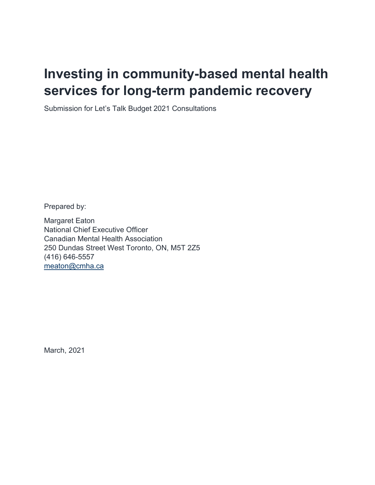# **Investing in community-based mental health services for long-term pandemic recovery**

Submission for Let's Talk Budget 2021 Consultations

Prepared by:

Margaret Eaton National Chief Executive Officer Canadian Mental Health Association 250 Dundas Street West Toronto, ON, M5T 2Z5 (416) 646-5557 [meaton@cmha.ca](mailto:meaton@cmha.ca)

March, 2021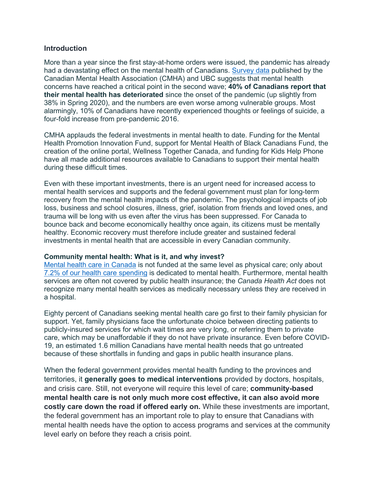### **Introduction**

More than a year since the first stay-at-home orders were issued, the pandemic has already had a devastating effect on the mental health of Canadians. [Survey data](https://cmha.ca/wp-content/uploads/2020/12/CMHA-UBC-wave-2-Summary-of-Findings-FINAL-EN.pdf) published by the Canadian Mental Health Association (CMHA) and UBC suggests that mental health concerns have reached a critical point in the second wave; **40% of Canadians report that their mental health has deteriorated** since the onset of the pandemic (up slightly from 38% in Spring 2020), and the numbers are even worse among vulnerable groups. Most alarmingly, 10% of Canadians have recently experienced thoughts or feelings of suicide, a four-fold increase from pre-pandemic 2016.

CMHA applauds the federal investments in mental health to date. Funding for the Mental Health Promotion Innovation Fund, support for Mental Health of Black Canadians Fund, the creation of the online portal, Wellness Together Canada, and funding for Kids Help Phone have all made additional resources available to Canadians to support their mental health during these difficult times.

Even with these important investments, there is an urgent need for increased access to mental health services and supports and the federal government must plan for long-term recovery from the mental health impacts of the pandemic. The psychological impacts of job loss, business and school closures, illness, grief, isolation from friends and loved ones, and trauma will be long with us even after the virus has been suppressed. For Canada to bounce back and become economically healthy once again, its citizens must be mentally healthy. Economic recovery must therefore include greater and sustained federal investments in mental health that are accessible in every Canadian community.

#### **Community mental health: What is it, and why invest?**

[Mental health care in Canada](https://cmha.ca/wp-content/uploads/2018/09/CMHA-Parity-Paper-Full-Report-EN.pdf) is not funded at the same level as physical care; only about [7.2% of our health care spending](https://www.mentalhealthcommission.ca/sites/default/files/2017-03/case_for_investment_eng.pdf) is dedicated to mental health. Furthermore, mental health services are often not covered by public health insurance; the *Canada Health Act* does not recognize many mental health services as medically necessary unless they are received in a hospital.

Eighty percent of Canadians seeking mental health care go first to their family physician for support. Yet, family physicians face the unfortunate choice between directing patients to publicly-insured services for which wait times are very long, or referring them to private care, which may be unaffordable if they do not have private insurance. Even before COVID-19, an estimated 1.6 million Canadians have mental health needs that go untreated because of these shortfalls in funding and gaps in public health insurance plans.

When the federal government provides mental health funding to the provinces and territories, it **generally goes to medical interventions** provided by doctors, hospitals, and crisis care. Still, not everyone will require this level of care; **community-based mental health care is not only much more cost effective, it can also avoid more costly care down the road if offered early on.** While these investments are important, the federal government has an important role to play to ensure that Canadians with mental health needs have the option to access programs and services at the community level early on before they reach a crisis point.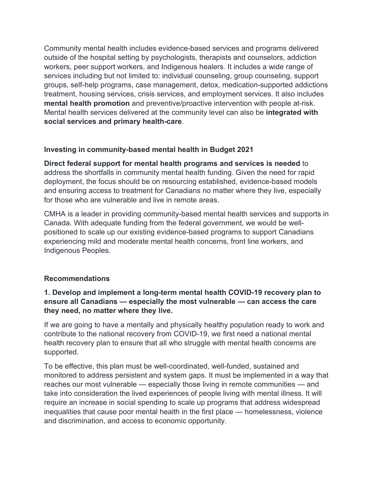Community mental health includes evidence-based services and programs delivered outside of the hospital setting by psychologists, therapists and counselors, addiction workers, peer support workers, and Indigenous healers. It includes a wide range of services including but not limited to: individual counseling, group counseling, support groups, self-help programs, case management, detox, medication-supported addictions treatment, housing services, crisis services, and employment services. It also includes **mental health promotion** and preventive/proactive intervention with people at-risk. Mental health services delivered at the community level can also be **integrated with social services and primary health-care**.

# **Investing in community-based mental health in Budget 2021**

**Direct federal support for mental health programs and services is needed** to address the shortfalls in community mental health funding. Given the need for rapid deployment, the focus should be on resourcing established, evidence-based models and ensuring access to treatment for Canadians no matter where they live, especially for those who are vulnerable and live in remote areas.

CMHA is a leader in providing community-based mental health services and supports in Canada. With adequate funding from the federal government, we would be wellpositioned to scale up our existing evidence-based programs to support Canadians experiencing mild and moderate mental health concerns, front line workers, and Indigenous Peoples.

## **Recommendations**

# **1. Develop and implement a long-term mental health COVID-19 recovery plan to ensure all Canadians — especially the most vulnerable — can access the care they need, no matter where they live.**

If we are going to have a mentally and physically healthy population ready to work and contribute to the national recovery from COVID-19, we first need a national mental health recovery plan to ensure that all who struggle with mental health concerns are supported.

To be effective, this plan must be well-coordinated, well-funded, sustained and monitored to address persistent and system gaps. It must be implemented in a way that reaches our most vulnerable — especially those living in remote communities — and take into consideration the lived experiences of people living with mental illness. It will require an increase in social spending to scale up programs that address widespread inequalities that cause poor mental health in the first place — homelessness, violence and discrimination, and access to economic opportunity.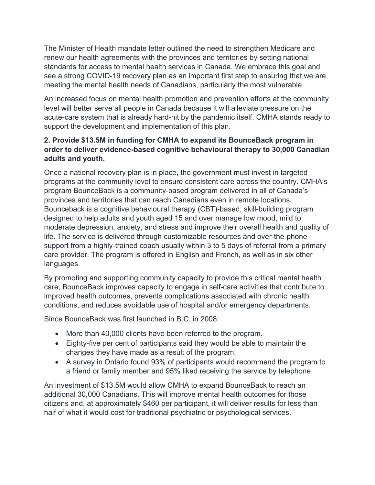The Minister of Health mandate letter outlined the need to strengthen Medicare and renew our health agreements with the provinces and territories by setting national standards for access to mental health services in Canada. We embrace this goal and see a strong COVID-19 recovery plan as an important first step to ensuring that we are meeting the mental health needs of Canadians, particularly the most vulnerable.

An increased focus on mental health promotion and prevention efforts at the community level will better serve all people in Canada because it will alleviate pressure on the acute-care system that is already hard-hit by the pandemic itself. CMHA stands ready to support the development and implementation of this plan.

# **2. Provide \$13.5M in funding for CMHA to expand its BounceBack program in order to deliver evidence-based cognitive behavioural therapy to 30,000 Canadian adults and youth.**

Once a national recovery plan is in place, the government must invest in targeted programs at the community level to ensure consistent care across the country. CMHA's program BounceBack is a community-based program delivered in all of Canada's provinces and territories that can reach Canadians even in remote locations. Bounceback is a cognitive behavioural therapy (CBT)-based, skill-building program designed to help adults and youth aged 15 and over manage low mood, mild to moderate depression, anxiety, and stress and improve their overall health and quality of life. The service is delivered through customizable resources and over-the-phone support from a highly-trained coach usually within 3 to 5 days of referral from a primary care provider. The program is offered in English and French, as well as in six other languages.

By promoting and supporting community capacity to provide this critical mental health care, BounceBack improves capacity to engage in self-care activities that contribute to improved health outcomes, prevents complications associated with chronic health conditions, and reduces avoidable use of hospital and/or emergency departments.

Since BounceBack was first launched in B.C. in 2008:

- More than 40,000 clients have been referred to the program.
- Eighty-five per cent of participants said they would be able to maintain the changes they have made as a result of the program.
- A survey in Ontario found 93% of participants would recommend the program to a friend or family member and 95% liked receiving the service by telephone.

An investment of \$13.5M would allow CMHA to expand BounceBack to reach an additional 30,000 Canadians. This will improve mental health outcomes for those citizens and, at approximately \$460 per participant, it will deliver results for less than half of what it would cost for traditional psychiatric or psychological services.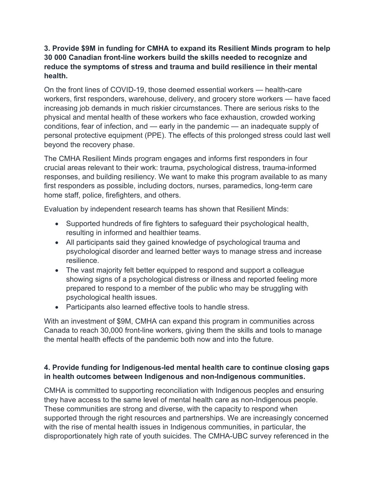# **3. Provide \$9M in funding for CMHA to expand its Resilient Minds program to help 30 000 Canadian front-line workers build the skills needed to recognize and reduce the symptoms of stress and trauma and build resilience in their mental health.**

On the front lines of COVID-19, those deemed essential workers — health-care workers, first responders, warehouse, delivery, and grocery store workers — have faced increasing job demands in much riskier circumstances. There are serious risks to the physical and mental health of these workers who face exhaustion, crowded working conditions, fear of infection, and — early in the pandemic — an inadequate supply of personal protective equipment (PPE). The effects of this prolonged stress could last well beyond the recovery phase.

The CMHA Resilient Minds program engages and informs first responders in four crucial areas relevant to their work: trauma, psychological distress, trauma-informed responses, and building resiliency. We want to make this program available to as many first responders as possible, including doctors, nurses, paramedics, long-term care home staff, police, firefighters, and others.

Evaluation by independent research teams has shown that Resilient Minds:

- Supported hundreds of fire fighters to safeguard their psychological health, resulting in informed and healthier teams.
- All participants said they gained knowledge of psychological trauma and psychological disorder and learned better ways to manage stress and increase resilience.
- The vast majority felt better equipped to respond and support a colleague showing signs of a psychological distress or illness and reported feeling more prepared to respond to a member of the public who may be struggling with psychological health issues.
- Participants also learned effective tools to handle stress.

With an investment of \$9M, CMHA can expand this program in communities across Canada to reach 30,000 front-line workers, giving them the skills and tools to manage the mental health effects of the pandemic both now and into the future.

# **4. Provide funding for Indigenous-led mental health care to continue closing gaps in health outcomes between Indigenous and non-Indigenous communities.**

CMHA is committed to supporting reconciliation with Indigenous peoples and ensuring they have access to the same level of mental health care as non-Indigenous people. These communities are strong and diverse, with the capacity to respond when supported through the right resources and partnerships. We are increasingly concerned with the rise of mental health issues in Indigenous communities, in particular, the disproportionately high rate of youth suicides. The CMHA-UBC survey referenced in the